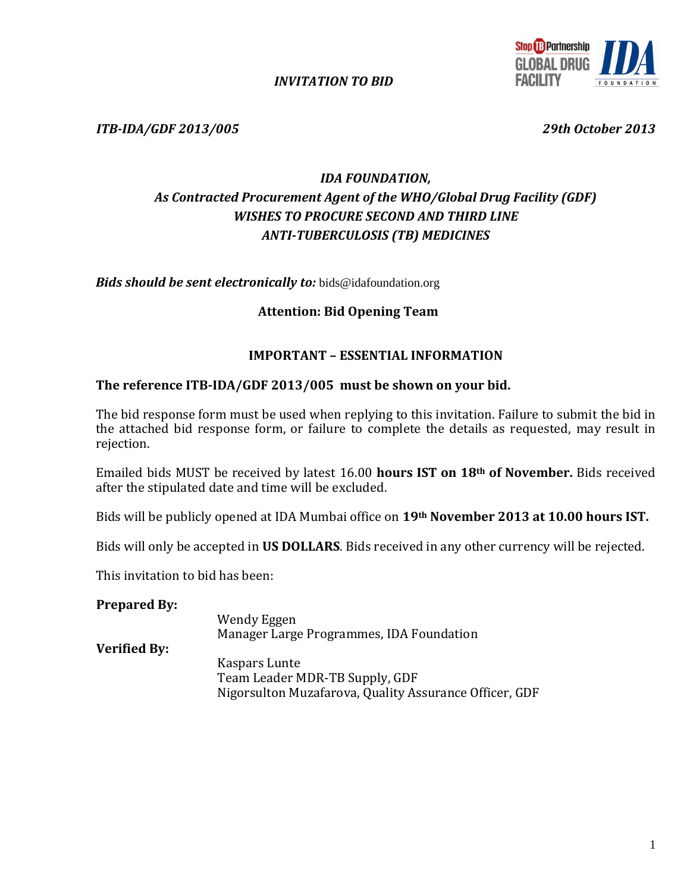

*INVITATION TO BID*

*ITB-IDA/GDF 2013/005 29th October 2013*

# *IDA FOUNDATION, As Contracted Procurement Agent of the WHO/Global Drug Facility (GDF) WISHES TO PROCURE SECOND AND THIRD LINE ANTI-TUBERCULOSIS (TB) MEDICINES*

*Bids should be sent electronically to:* bids@idafoundation.org

#### **Attention: Bid Opening Team**

#### **IMPORTANT – ESSENTIAL INFORMATION**

#### **The reference ITB-IDA/GDF 2013/005 must be shown on your bid.**

The bid response form must be used when replying to this invitation. Failure to submit the bid in the attached bid response form, or failure to complete the details as requested, may result in rejection.

Emailed bids MUST be received by latest 16.00 **hours IST on 18th of November.** Bids received after the stipulated date and time will be excluded.

Bids will be publicly opened at IDA Mumbai office on **19th November 2013 at 10.00 hours IST.**

Bids will only be accepted in **US DOLLARS**. Bids received in any other currency will be rejected.

This invitation to bid has been:

#### **Prepared By:**

|              | Wendy Eggen                                            |
|--------------|--------------------------------------------------------|
|              | Manager Large Programmes, IDA Foundation               |
| Verified By: |                                                        |
|              | Kaspars Lunte                                          |
|              | Team Leader MDR-TB Supply, GDF                         |
|              | Nigorsulton Muzafarova, Quality Assurance Officer, GDF |
|              |                                                        |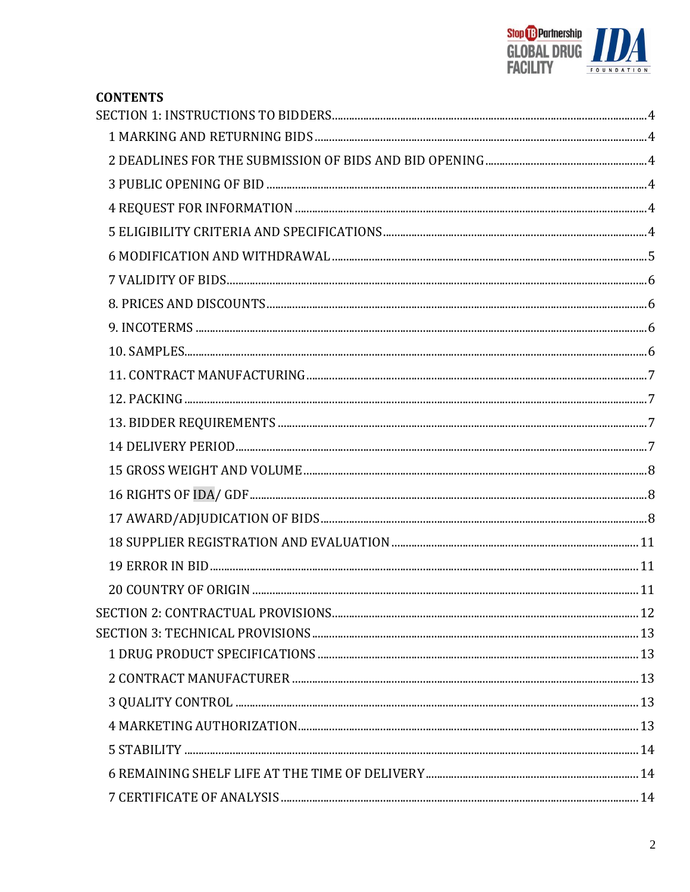

| <b>CONTENTS</b> |  |
|-----------------|--|
|                 |  |
|                 |  |
|                 |  |
|                 |  |
|                 |  |
|                 |  |
|                 |  |
|                 |  |
|                 |  |
|                 |  |
|                 |  |
|                 |  |
|                 |  |
|                 |  |
|                 |  |
|                 |  |
|                 |  |
|                 |  |
|                 |  |
|                 |  |
|                 |  |
|                 |  |
|                 |  |
|                 |  |
|                 |  |
|                 |  |
|                 |  |
|                 |  |
|                 |  |
|                 |  |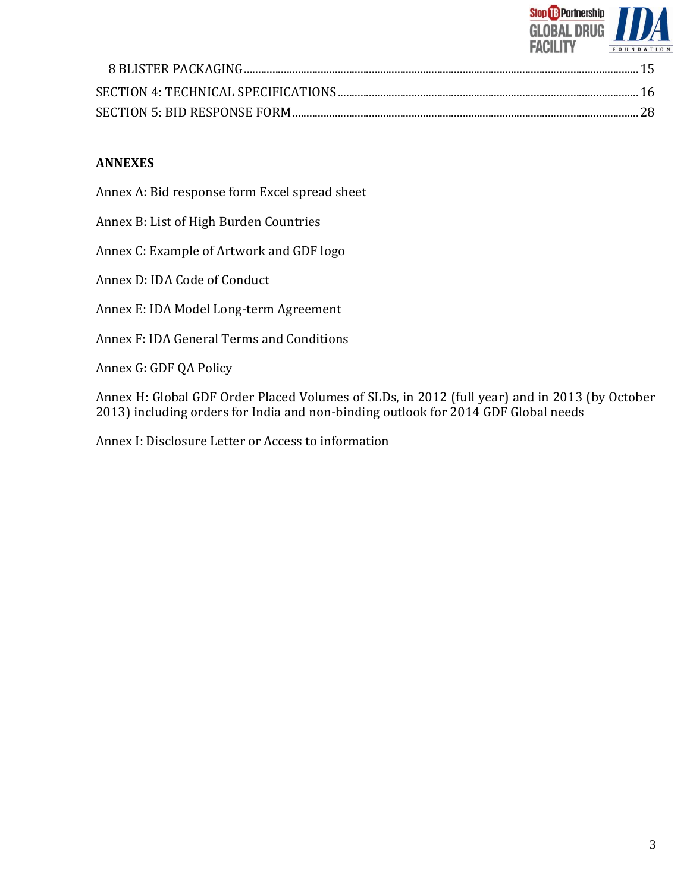

## **ANNEXES**

Annex A: Bid response form Excel spread sheet

Annex B: List of High Burden Countries

Annex C: Example of Artwork and GDF logo

Annex D: IDA Code of Conduct

Annex E: IDA Model Long-term Agreement

Annex F: IDA General Terms and Conditions

Annex G: GDF QA Policy

Annex H: Global GDF Order Placed Volumes of SLDs, in 2012 (full year) and in 2013 (by October 2013) including orders for India and non-binding outlook for 2014 GDF Global needs

Annex I: Disclosure Letter or Access to information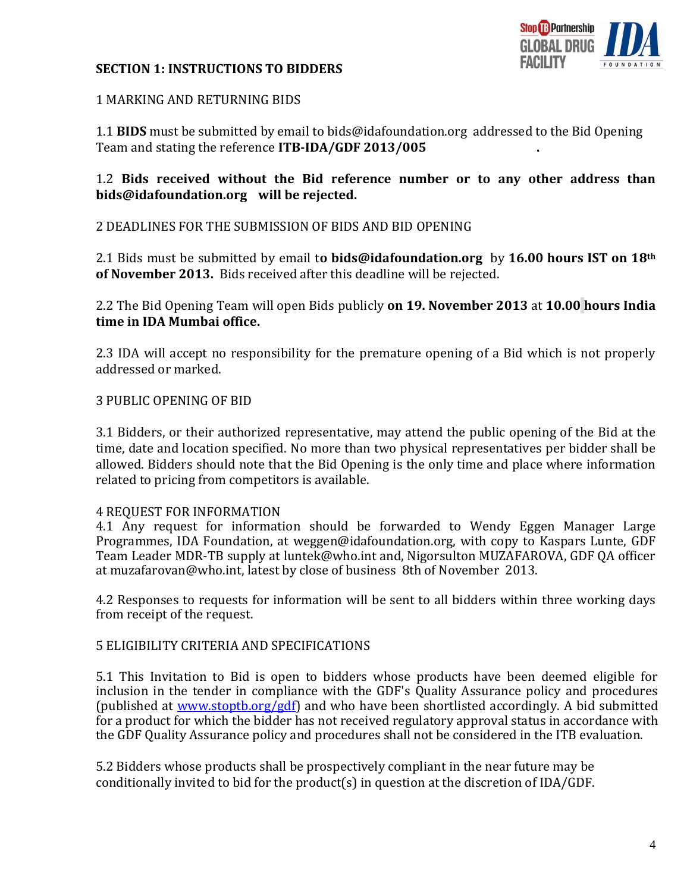# **Stop & Partnership GLOBAL DRUG FACILITY**

## <span id="page-3-0"></span>**SECTION 1: INSTRUCTIONS TO BIDDERS**

## <span id="page-3-1"></span>1 MARKING AND RETURNING BIDS

1.1 **BIDS** must be submitted by email to bids@idafoundation.org addressed to the Bid Opening Team and stating the reference **ITB-IDA/GDF 2013/005 .**

## 1.2 **Bids received without the Bid reference number or to any other address than bids@idafoundation.org will be rejected.**

<span id="page-3-2"></span>2 DEADLINES FOR THE SUBMISSION OF BIDS AND BID OPENING

2.1 Bids must be submitted by email t**o bids@idafoundation.org** by **16.00 hours IST on 18th of November 2013.** Bids received after this deadline will be rejected.

2.2 The Bid Opening Team will open Bids publicly **on 19. November 2013** at **10.00 hours India time in IDA Mumbai office.**

2.3 IDA will accept no responsibility for the premature opening of a Bid which is not properly addressed or marked.

# <span id="page-3-3"></span>3 PUBLIC OPENING OF BID

3.1 Bidders, or their authorized representative, may attend the public opening of the Bid at the time, date and location specified. No more than two physical representatives per bidder shall be allowed. Bidders should note that the Bid Opening is the only time and place where information related to pricing from competitors is available.

## <span id="page-3-4"></span>4 REQUEST FOR INFORMATION

4.1 Any request for information should be forwarded to Wendy Eggen Manager Large Programmes, IDA Foundation, at weggen@idafoundation.org, with copy to Kaspars Lunte, GDF Team Leader MDR-TB supply at luntek@who.int and, Nigorsulton MUZAFAROVA, GDF QA officer at muzafarovan@who.int, latest by close of business 8th of November 2013.

4.2 Responses to requests for information will be sent to all bidders within three working days from receipt of the request.

## <span id="page-3-5"></span>5 ELIGIBILITY CRITERIA AND SPECIFICATIONS

5.1 This Invitation to Bid is open to bidders whose products have been deemed eligible for inclusion in the tender in compliance with the GDF's Quality Assurance policy and procedures (published at [www.stoptb.org/gdf\)](http://www.stoptb.org/gdf) and who have been shortlisted accordingly. A bid submitted for a product for which the bidder has not received regulatory approval status in accordance with the GDF Quality Assurance policy and procedures shall not be considered in the ITB evaluation.

5.2 Bidders whose products shall be prospectively compliant in the near future may be conditionally invited to bid for the product(s) in question at the discretion of IDA/GDF.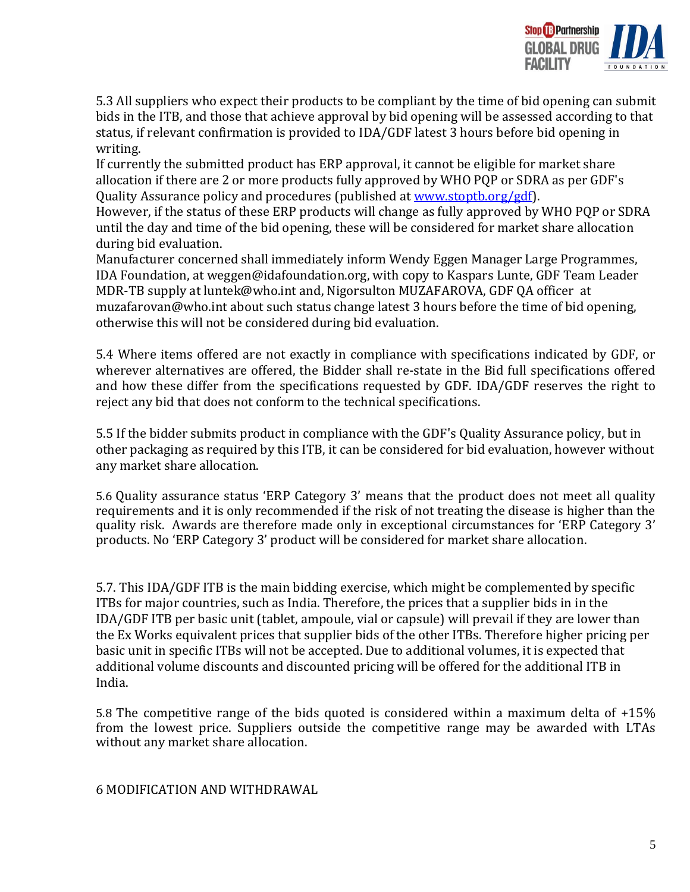

5.3 All suppliers who expect their products to be compliant by the time of bid opening can submit bids in the ITB, and those that achieve approval by bid opening will be assessed according to that status, if relevant confirmation is provided to IDA/GDF latest 3 hours before bid opening in writing.

If currently the submitted product has ERP approval, it cannot be eligible for market share allocation if there are 2 or more products fully approved by WHO PQP or SDRA as per GDF's Quality Assurance policy and procedures (published at [www.stoptb.org/gdf\)](http://www.stoptb.org/gdf).

However, if the status of these ERP products will change as fully approved by WHO PQP or SDRA until the day and time of the bid opening, these will be considered for market share allocation during bid evaluation.

Manufacturer concerned shall immediately inform Wendy Eggen Manager Large Programmes, IDA Foundation, at weggen@idafoundation.org, with copy to Kaspars Lunte, GDF Team Leader MDR-TB supply at luntek@who.int and, Nigorsulton MUZAFAROVA, GDF QA officer at muzafarovan@who.int about such status change latest 3 hours before the time of bid opening, otherwise this will not be considered during bid evaluation.

5.4 Where items offered are not exactly in compliance with specifications indicated by GDF, or wherever alternatives are offered, the Bidder shall re-state in the Bid full specifications offered and how these differ from the specifications requested by GDF. IDA/GDF reserves the right to reject any bid that does not conform to the technical specifications.

5.5 If the bidder submits product in compliance with the GDF's Quality Assurance policy, but in other packaging as required by this ITB, it can be considered for bid evaluation, however without any market share allocation.

5.6 Quality assurance status 'ERP Category 3' means that the product does not meet all quality requirements and it is only recommended if the risk of not treating the disease is higher than the quality risk. Awards are therefore made only in exceptional circumstances for 'ERP Category 3' products. No 'ERP Category 3' product will be considered for market share allocation.

5.7. This IDA/GDF ITB is the main bidding exercise, which might be complemented by specific ITBs for major countries, such as India. Therefore, the prices that a supplier bids in in the IDA/GDF ITB per basic unit (tablet, ampoule, vial or capsule) will prevail if they are lower than the Ex Works equivalent prices that supplier bids of the other ITBs. Therefore higher pricing per basic unit in specific ITBs will not be accepted. Due to additional volumes, it is expected that additional volume discounts and discounted pricing will be offered for the additional ITB in India.

5.8 The competitive range of the bids quoted is considered within a maximum delta of +15% from the lowest price. Suppliers outside the competitive range may be awarded with LTAs without any market share allocation.

<span id="page-4-0"></span>6 MODIFICATION AND WITHDRAWAL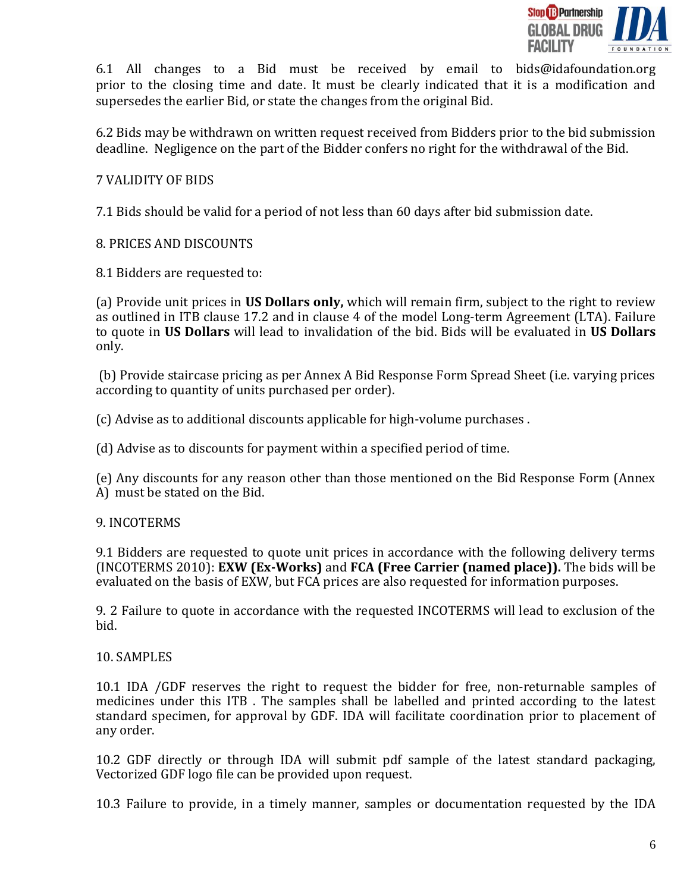

6.1 All changes to a Bid must be received by email to bids@idafoundation.org prior to the closing time and date. It must be clearly indicated that it is a modification and supersedes the earlier Bid, or state the changes from the original Bid.

6.2 Bids may be withdrawn on written request received from Bidders prior to the bid submission deadline. Negligence on the part of the Bidder confers no right for the withdrawal of the Bid.

## <span id="page-5-0"></span>7 VALIDITY OF BIDS

7.1 Bids should be valid for a period of not less than 60 days after bid submission date.

## <span id="page-5-1"></span>8. PRICES AND DISCOUNTS

8.1 Bidders are requested to:

(a) Provide unit prices in **US Dollars only,** which will remain firm, subject to the right to review as outlined in ITB clause 17.2 and in clause 4 of the model Long-term Agreement (LTA). Failure to quote in **US Dollars** will lead to invalidation of the bid. Bids will be evaluated in **US Dollars** only.

(b) Provide staircase pricing as per Annex A Bid Response Form Spread Sheet (i.e. varying prices according to quantity of units purchased per order).

(c) Advise as to additional discounts applicable for high-volume purchases .

(d) Advise as to discounts for payment within a specified period of time.

(e) Any discounts for any reason other than those mentioned on the Bid Response Form (Annex A) must be stated on the Bid.

## <span id="page-5-2"></span>9. INCOTERMS

9.1 Bidders are requested to quote unit prices in accordance with the following delivery terms (INCOTERMS 2010): **EXW (Ex-Works)** and **FCA (Free Carrier (named place)).** The bids will be evaluated on the basis of EXW, but FCA prices are also requested for information purposes.

9. 2 Failure to quote in accordance with the requested INCOTERMS will lead to exclusion of the bid.

## <span id="page-5-3"></span>10. SAMPLES

10.1 IDA /GDF reserves the right to request the bidder for free, non-returnable samples of medicines under this ITB. The samples shall be labelled and printed according to the latest standard specimen, for approval by GDF. IDA will facilitate coordination prior to placement of any order.

10.2 GDF directly or through IDA will submit pdf sample of the latest standard packaging, Vectorized GDF logo file can be provided upon request.

10.3 Failure to provide, in a timely manner, samples or documentation requested by the IDA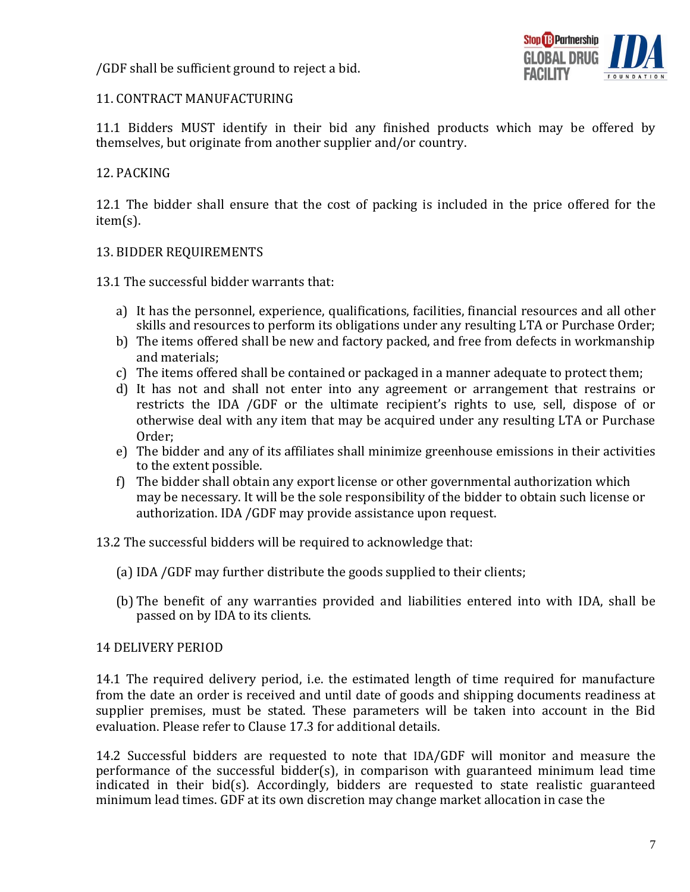/GDF shall be sufficient ground to reject a bid.



## <span id="page-6-0"></span>11. CONTRACT MANUFACTURING

11.1 Bidders MUST identify in their bid any finished products which may be offered by themselves, but originate from another supplier and/or country.

## <span id="page-6-1"></span>12. PACKING

12.1 The bidder shall ensure that the cost of packing is included in the price offered for the item(s).

## <span id="page-6-2"></span>13. BIDDER REQUIREMENTS

13.1 The successful bidder warrants that:

- a) It has the personnel, experience, qualifications, facilities, financial resources and all other skills and resources to perform its obligations under any resulting LTA or Purchase Order;
- b) The items offered shall be new and factory packed, and free from defects in workmanship and materials;
- c) The items offered shall be contained or packaged in a manner adequate to protect them;
- d) It has not and shall not enter into any agreement or arrangement that restrains or restricts the IDA /GDF or the ultimate recipient's rights to use, sell, dispose of or otherwise deal with any item that may be acquired under any resulting LTA or Purchase Order;
- e) The bidder and any of its affiliates shall minimize greenhouse emissions in their activities to the extent possible.
- f) The bidder shall obtain any export license or other governmental authorization which may be necessary. It will be the sole responsibility of the bidder to obtain such license or authorization. IDA /GDF may provide assistance upon request.

13.2 The successful bidders will be required to acknowledge that:

- (a) IDA /GDF may further distribute the goods supplied to their clients;
- (b) The benefit of any warranties provided and liabilities entered into with IDA, shall be passed on by IDA to its clients.

## <span id="page-6-3"></span>14 DELIVERY PERIOD

14.1 The required delivery period, i.e. the estimated length of time required for manufacture from the date an order is received and until date of goods and shipping documents readiness at supplier premises, must be stated. These parameters will be taken into account in the Bid evaluation. Please refer to Clause 17.3 for additional details.

14.2 Successful bidders are requested to note that IDA/GDF will monitor and measure the performance of the successful bidder(s), in comparison with guaranteed minimum lead time indicated in their bid(s). Accordingly, bidders are requested to state realistic guaranteed minimum lead times. GDF at its own discretion may change market allocation in case the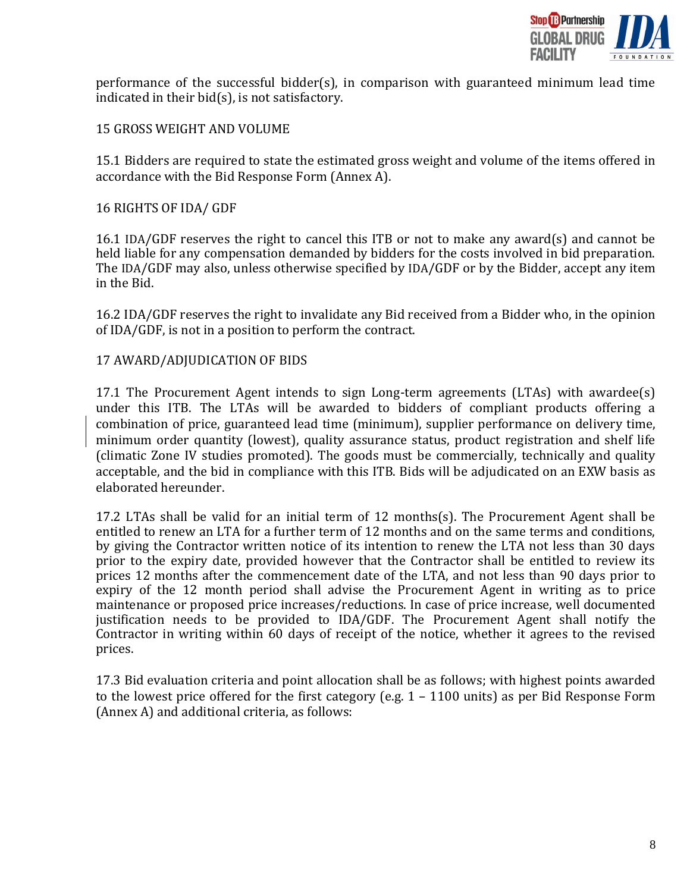

performance of the successful bidder(s), in comparison with guaranteed minimum lead time indicated in their bid(s), is not satisfactory.

### <span id="page-7-0"></span>15 GROSS WEIGHT AND VOLUME

15.1 Bidders are required to state the estimated gross weight and volume of the items offered in accordance with the Bid Response Form (Annex A).

#### <span id="page-7-1"></span>16 RIGHTS OF IDA/ GDF

16.1 IDA/GDF reserves the right to cancel this ITB or not to make any award(s) and cannot be held liable for any compensation demanded by bidders for the costs involved in bid preparation. The IDA/GDF may also, unless otherwise specified by IDA/GDF or by the Bidder, accept any item in the Bid.

16.2 IDA/GDF reserves the right to invalidate any Bid received from a Bidder who, in the opinion of IDA/GDF, is not in a position to perform the contract.

#### <span id="page-7-2"></span>17 AWARD/ADJUDICATION OF BIDS

17.1 The Procurement Agent intends to sign Long-term agreements (LTAs) with awardee(s) under this ITB. The LTAs will be awarded to bidders of compliant products offering a combination of price, guaranteed lead time (minimum), supplier performance on delivery time, minimum order quantity (lowest), quality assurance status, product registration and shelf life (climatic Zone IV studies promoted). The goods must be commercially, technically and quality acceptable, and the bid in compliance with this ITB. Bids will be adjudicated on an EXW basis as elaborated hereunder.

17.2 LTAs shall be valid for an initial term of 12 months(s). The Procurement Agent shall be entitled to renew an LTA for a further term of 12 months and on the same terms and conditions, by giving the Contractor written notice of its intention to renew the LTA not less than 30 days prior to the expiry date, provided however that the Contractor shall be entitled to review its prices 12 months after the commencement date of the LTA, and not less than 90 days prior to expiry of the 12 month period shall advise the Procurement Agent in writing as to price maintenance or proposed price increases/reductions. In case of price increase, well documented justification needs to be provided to IDA/GDF. The Procurement Agent shall notify the Contractor in writing within 60 days of receipt of the notice, whether it agrees to the revised prices.

17.3 Bid evaluation criteria and point allocation shall be as follows; with highest points awarded to the lowest price offered for the first category (e.g. 1 – 1100 units) as per Bid Response Form (Annex A) and additional criteria, as follows: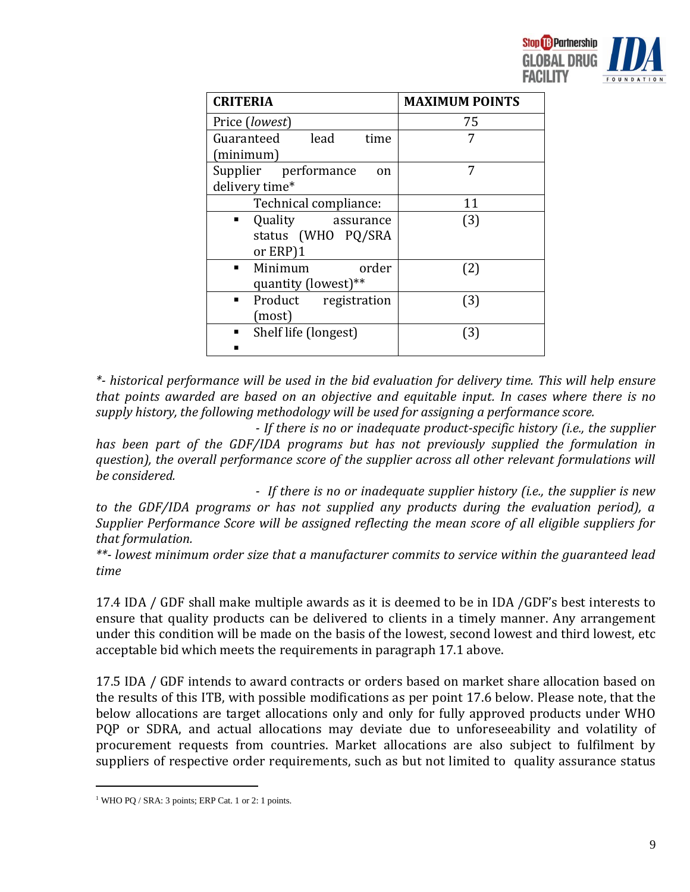

| <b>CRITERIA</b>                                        | <b>MAXIMUM POINTS</b> |
|--------------------------------------------------------|-----------------------|
| Price (lowest)                                         | 75                    |
| lead<br>Guaranteed<br>time<br>(minimum)                | 7                     |
| Supplier performance<br>on<br>delivery time*           | 7                     |
| Technical compliance:                                  | 11                    |
| Quality<br>assurance<br>status (WHO PQ/SRA<br>or ERP)1 | (3)                   |
| Minimum<br>order<br>quantity (lowest)**                | (2)                   |
| Product registration<br>٠<br>(most)                    | (3)                   |
| Shelf life (longest)                                   | (3)                   |

*\*- historical performance will be used in the bid evaluation for delivery time. This will help ensure that points awarded are based on an objective and equitable input. In cases where there is no supply history, the following methodology will be used for assigning a performance score.*

*- If there is no or inadequate product-specific history (i.e., the supplier has been part of the GDF/IDA programs but has not previously supplied the formulation in question), the overall performance score of the supplier across all other relevant formulations will be considered.*

*- If there is no or inadequate supplier history (i.e., the supplier is new to the GDF/IDA programs or has not supplied any products during the evaluation period), a Supplier Performance Score will be assigned reflecting the mean score of all eligible suppliers for that formulation.*

*\*\*- lowest minimum order size that a manufacturer commits to service within the guaranteed lead time*

17.4 IDA / GDF shall make multiple awards as it is deemed to be in IDA /GDF's best interests to ensure that quality products can be delivered to clients in a timely manner. Any arrangement under this condition will be made on the basis of the lowest, second lowest and third lowest, etc acceptable bid which meets the requirements in paragraph 17.1 above.

17.5 IDA / GDF intends to award contracts or orders based on market share allocation based on the results of this ITB, with possible modifications as per point 17.6 below. Please note, that the below allocations are target allocations only and only for fully approved products under WHO PQP or SDRA, and actual allocations may deviate due to unforeseeability and volatility of procurement requests from countries. Market allocations are also subject to fulfilment by suppliers of respective order requirements, such as but not limited to quality assurance status

<sup>&</sup>lt;sup>1</sup> WHO PQ / SRA: 3 points; ERP Cat. 1 or 2: 1 points.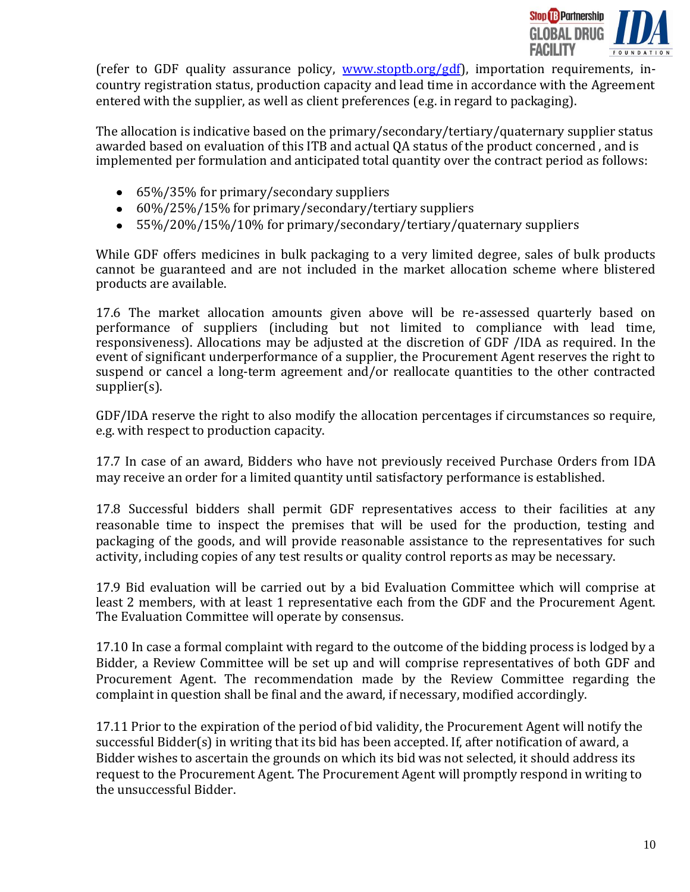

(refer to GDF quality assurance policy, [www.stoptb.org/gdf\)](http://www.stoptb.org/gdf), importation requirements, incountry registration status, production capacity and lead time in accordance with the Agreement entered with the supplier, as well as client preferences (e.g. in regard to packaging).

The allocation is indicative based on the primary/secondary/tertiary/quaternary supplier status awarded based on evaluation of this ITB and actual QA status of the product concerned , and is implemented per formulation and anticipated total quantity over the contract period as follows:

- 65%/35% for primary/secondary suppliers
- 60%/25%/15% for primary/secondary/tertiary suppliers
- 55%/20%/15%/10% for primary/secondary/tertiary/quaternary suppliers

While GDF offers medicines in bulk packaging to a very limited degree, sales of bulk products cannot be guaranteed and are not included in the market allocation scheme where blistered products are available.

17.6 The market allocation amounts given above will be re-assessed quarterly based on performance of suppliers (including but not limited to compliance with lead time, responsiveness). Allocations may be adjusted at the discretion of GDF /IDA as required. In the event of significant underperformance of a supplier, the Procurement Agent reserves the right to suspend or cancel a long-term agreement and/or reallocate quantities to the other contracted supplier(s).

GDF/IDA reserve the right to also modify the allocation percentages if circumstances so require, e.g. with respect to production capacity.

17.7 In case of an award, Bidders who have not previously received Purchase Orders from IDA may receive an order for a limited quantity until satisfactory performance is established.

17.8 Successful bidders shall permit GDF representatives access to their facilities at any reasonable time to inspect the premises that will be used for the production, testing and packaging of the goods, and will provide reasonable assistance to the representatives for such activity, including copies of any test results or quality control reports as may be necessary.

17.9 Bid evaluation will be carried out by a bid Evaluation Committee which will comprise at least 2 members, with at least 1 representative each from the GDF and the Procurement Agent. The Evaluation Committee will operate by consensus.

17.10 In case a formal complaint with regard to the outcome of the bidding process is lodged by a Bidder, a Review Committee will be set up and will comprise representatives of both GDF and Procurement Agent. The recommendation made by the Review Committee regarding the complaint in question shall be final and the award, if necessary, modified accordingly.

17.11 Prior to the expiration of the period of bid validity, the Procurement Agent will notify the successful Bidder(s) in writing that its bid has been accepted. If, after notification of award, a Bidder wishes to ascertain the grounds on which its bid was not selected, it should address its request to the Procurement Agent. The Procurement Agent will promptly respond in writing to the unsuccessful Bidder.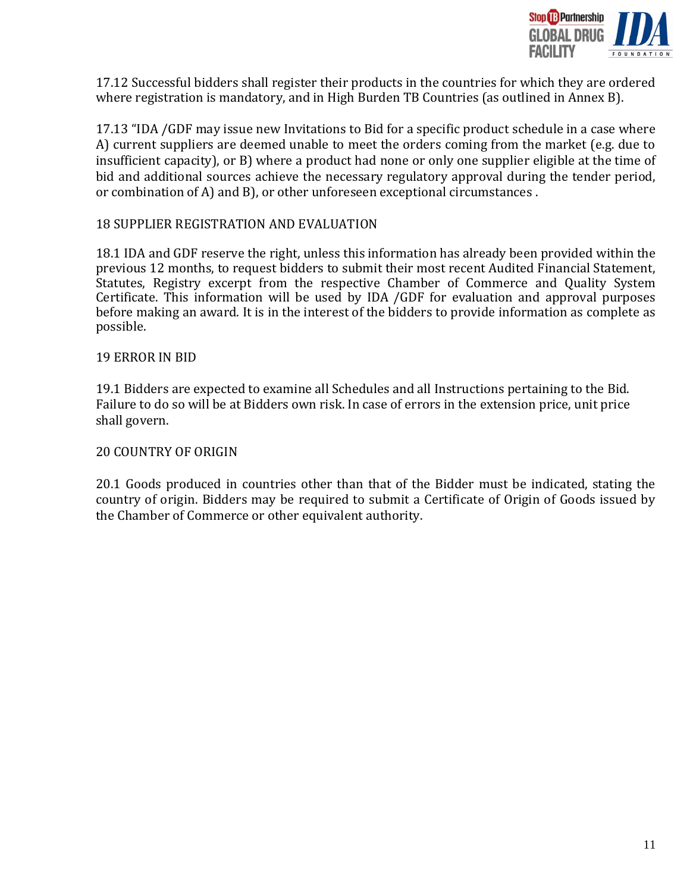

17.12 Successful bidders shall register their products in the countries for which they are ordered where registration is mandatory, and in High Burden TB Countries (as outlined in Annex B).

17.13 "IDA /GDF may issue new Invitations to Bid for a specific product schedule in a case where A) current suppliers are deemed unable to meet the orders coming from the market (e.g. due to insufficient capacity), or B) where a product had none or only one supplier eligible at the time of bid and additional sources achieve the necessary regulatory approval during the tender period, or combination of A) and B), or other unforeseen exceptional circumstances .

#### <span id="page-10-0"></span>18 SUPPLIER REGISTRATION AND EVALUATION

18.1 IDA and GDF reserve the right, unless this information has already been provided within the previous 12 months, to request bidders to submit their most recent Audited Financial Statement, Statutes, Registry excerpt from the respective Chamber of Commerce and Quality System Certificate. This information will be used by IDA /GDF for evaluation and approval purposes before making an award. It is in the interest of the bidders to provide information as complete as possible.

#### <span id="page-10-1"></span>19 ERROR IN BID

19.1 Bidders are expected to examine all Schedules and all Instructions pertaining to the Bid. Failure to do so will be at Bidders own risk. In case of errors in the extension price, unit price shall govern.

### <span id="page-10-2"></span>20 COUNTRY OF ORIGIN

20.1 Goods produced in countries other than that of the Bidder must be indicated, stating the country of origin. Bidders may be required to submit a Certificate of Origin of Goods issued by the Chamber of Commerce or other equivalent authority.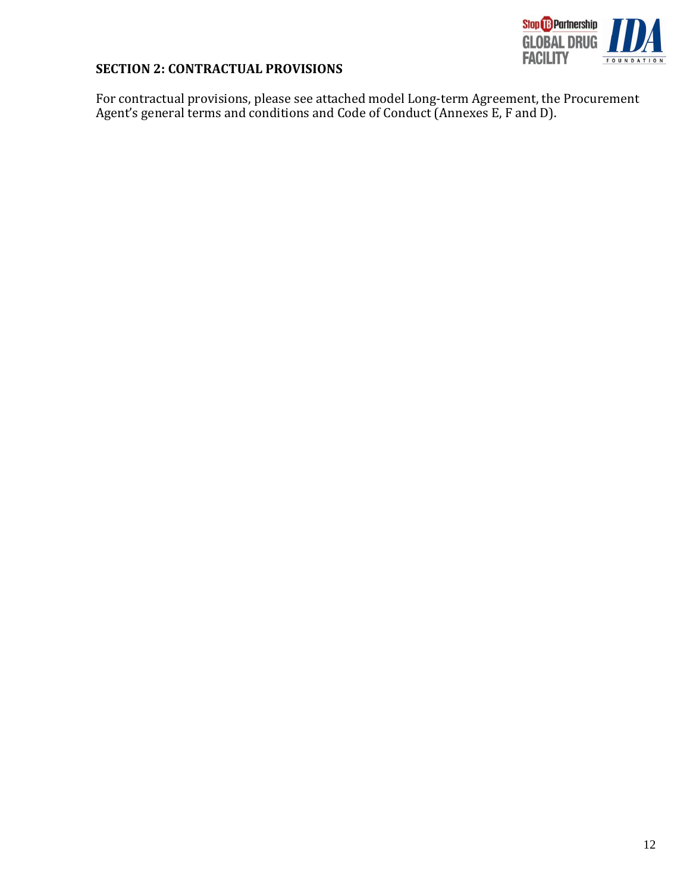

# <span id="page-11-0"></span>**SECTION 2: CONTRACTUAL PROVISIONS**

For contractual provisions, please see attached model Long-term Agreement, the Procurement Agent's general terms and conditions and Code of Conduct (Annexes E, F and D).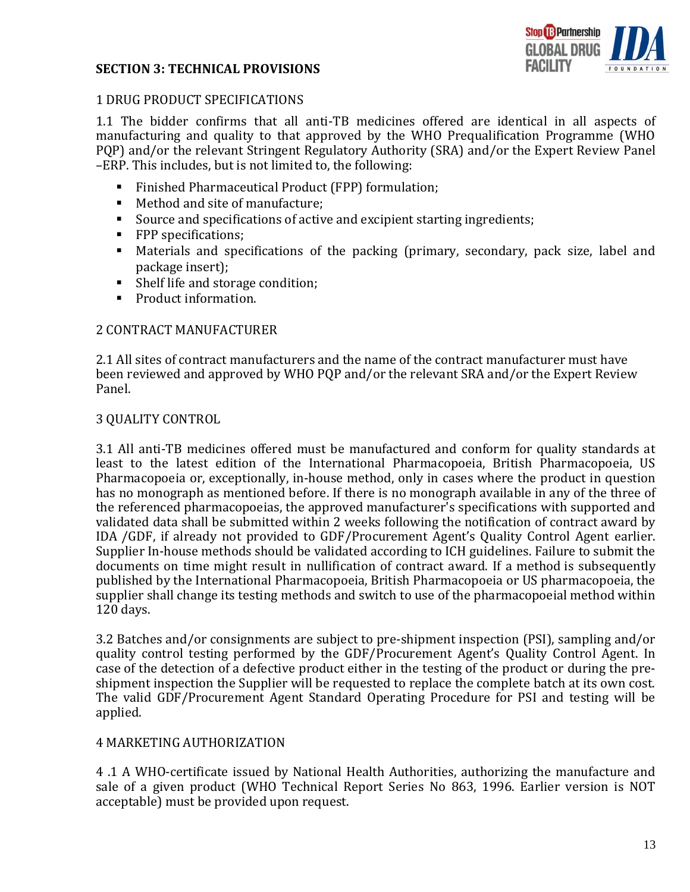## <span id="page-12-0"></span>**SECTION 3: TECHNICAL PROVISIONS**



### <span id="page-12-1"></span>1 DRUG PRODUCT SPECIFICATIONS

1.1 The bidder confirms that all anti-TB medicines offered are identical in all aspects of manufacturing and quality to that approved by the WHO Prequalification Programme (WHO PQP) and/or the relevant Stringent Regulatory Authority (SRA) and/or the Expert Review Panel –ERP. This includes, but is not limited to, the following:

- Finished Pharmaceutical Product (FPP) formulation;
- Method and site of manufacture;
- Source and specifications of active and excipient starting ingredients;
- **FPP** specifications;
- Materials and specifications of the packing (primary, secondary, pack size, label and package insert);
- Shelf life and storage condition;
- Product information.

#### <span id="page-12-2"></span>2 CONTRACT MANUFACTURER

2.1 All sites of contract manufacturers and the name of the contract manufacturer must have been reviewed and approved by WHO PQP and/or the relevant SRA and/or the Expert Review Panel.

#### <span id="page-12-3"></span>3 QUALITY CONTROL

3.1 All anti-TB medicines offered must be manufactured and conform for quality standards at least to the latest edition of the International Pharmacopoeia, British Pharmacopoeia, US Pharmacopoeia or, exceptionally, in-house method, only in cases where the product in question has no monograph as mentioned before. If there is no monograph available in any of the three of the referenced pharmacopoeias, the approved manufacturer's specifications with supported and validated data shall be submitted within 2 weeks following the notification of contract award by IDA /GDF, if already not provided to GDF/Procurement Agent's Quality Control Agent earlier. Supplier In-house methods should be validated according to ICH guidelines. Failure to submit the documents on time might result in nullification of contract award. If a method is subsequently published by the International Pharmacopoeia, British Pharmacopoeia or US pharmacopoeia, the supplier shall change its testing methods and switch to use of the pharmacopoeial method within 120 days.

3.2 Batches and/or consignments are subject to pre-shipment inspection (PSI), sampling and/or quality control testing performed by the GDF/Procurement Agent's Quality Control Agent. In case of the detection of a defective product either in the testing of the product or during the preshipment inspection the Supplier will be requested to replace the complete batch at its own cost. The valid GDF/Procurement Agent Standard Operating Procedure for PSI and testing will be applied.

#### <span id="page-12-4"></span>4 MARKETING AUTHORIZATION

4 .1 A WHO-certificate issued by National Health Authorities, authorizing the manufacture and sale of a given product (WHO Technical Report Series No 863, 1996. Earlier version is NOT acceptable) must be provided upon request.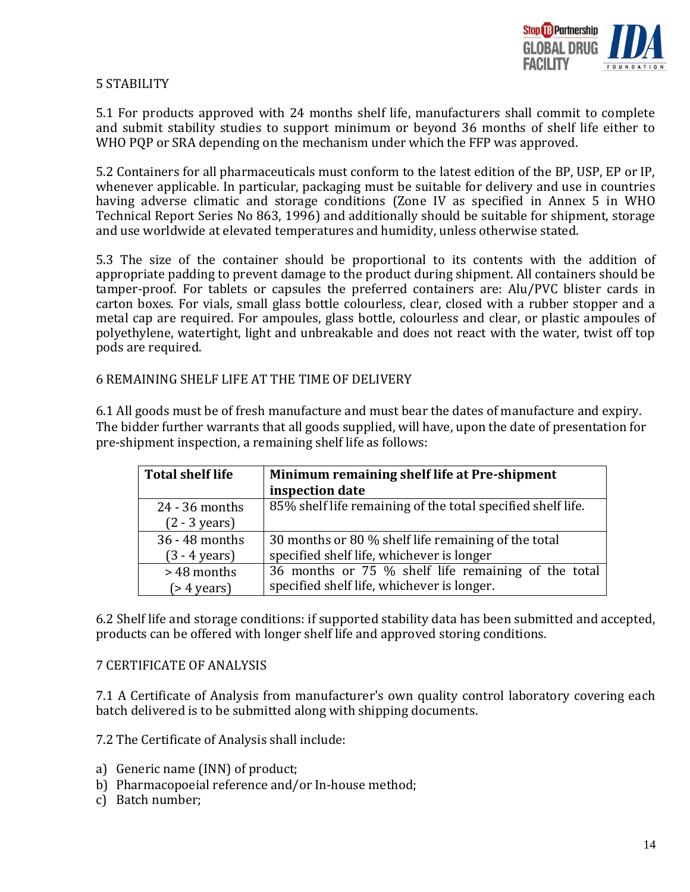

### <span id="page-13-0"></span>5 STABILITY

5.1 For products approved with 24 months shelf life, manufacturers shall commit to complete and submit stability studies to support minimum or beyond 36 months of shelf life either to WHO PQP or SRA depending on the mechanism under which the FFP was approved.

5.2 Containers for all pharmaceuticals must conform to the latest edition of the BP, USP, EP or IP, whenever applicable. In particular, packaging must be suitable for delivery and use in countries having adverse climatic and storage conditions (Zone IV as specified in Annex 5 in WHO Technical Report Series No 863, 1996) and additionally should be suitable for shipment, storage and use worldwide at elevated temperatures and humidity, unless otherwise stated.

5.3 The size of the container should be proportional to its contents with the addition of appropriate padding to prevent damage to the product during shipment. All containers should be tamper-proof. For tablets or capsules the preferred containers are: Alu/PVC blister cards in carton boxes. For vials, small glass bottle colourless, clear, closed with a rubber stopper and a metal cap are required. For ampoules, glass bottle, colourless and clear, or plastic ampoules of polyethylene, watertight, light and unbreakable and does not react with the water, twist off top pods are required.

#### <span id="page-13-1"></span>6 REMAINING SHELF LIFE AT THE TIME OF DELIVERY

6.1 All goods must be of fresh manufacture and must bear the dates of manufacture and expiry. The bidder further warrants that all goods supplied, will have, upon the date of presentation for pre-shipment inspection, a remaining shelf life as follows:

| <b>Total shelf life</b> | Minimum remaining shelf life at Pre-shipment                |  |
|-------------------------|-------------------------------------------------------------|--|
|                         | inspection date                                             |  |
| $24 - 36$ months        | 85% shelf life remaining of the total specified shelf life. |  |
| $(2 - 3 \text{ years})$ |                                                             |  |
| 36 - 48 months          | 30 months or 80 % shelf life remaining of the total         |  |
| $(3 - 4 \text{ years})$ | specified shelf life, whichever is longer                   |  |
| >48 months              | 36 months or 75 % shelf life remaining of the total         |  |
| $($ > 4 years)          | specified shelf life, whichever is longer.                  |  |

6.2 Shelf life and storage conditions: if supported stability data has been submitted and accepted, products can be offered with longer shelf life and approved storing conditions.

#### <span id="page-13-2"></span>7 CERTIFICATE OF ANALYSIS

7.1 A Certificate of Analysis from manufacturer's own quality control laboratory covering each batch delivered is to be submitted along with shipping documents.

7.2 The Certificate of Analysis shall include:

- a) Generic name (INN) of product;
- b) Pharmacopoeial reference and/or In-house method;
- c) Batch number;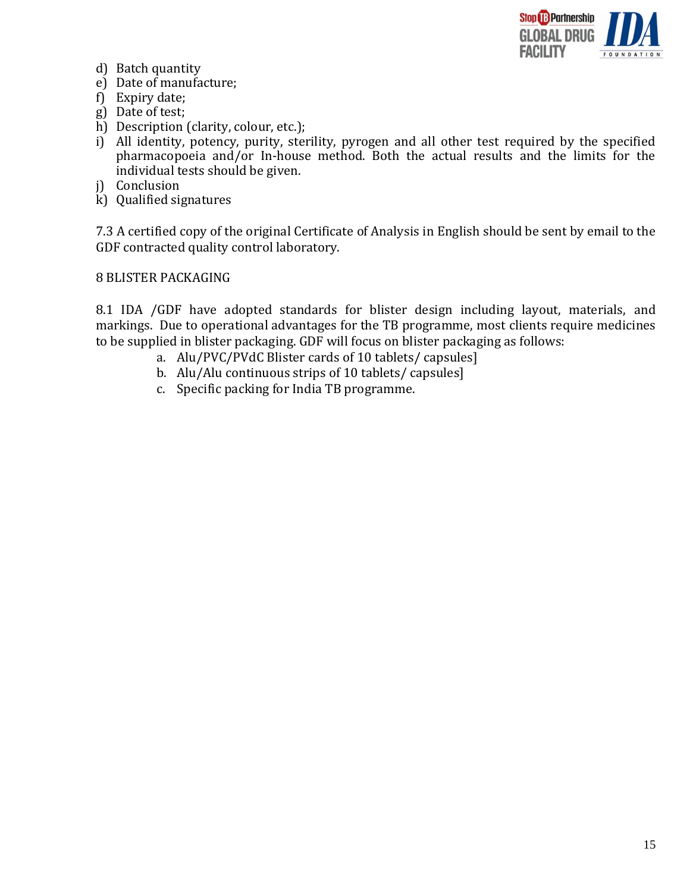

- d) Batch quantity
- e) Date of manufacture;
- f) Expiry date;
- g) Date of test;
- h) Description (clarity, colour, etc.);
- i) All identity, potency, purity, sterility, pyrogen and all other test required by the specified pharmacopoeia and/or In-house method. Both the actual results and the limits for the individual tests should be given.
- j) Conclusion
- k) Qualified signatures

7.3 A certified copy of the original Certificate of Analysis in English should be sent by email to the GDF contracted quality control laboratory.

#### <span id="page-14-0"></span>8 BLISTER PACKAGING

8.1 IDA /GDF have adopted standards for blister design including layout, materials, and markings. Due to operational advantages for the TB programme, most clients require medicines to be supplied in blister packaging. GDF will focus on blister packaging as follows:

- a. Alu/PVC/PVdC Blister cards of 10 tablets/ capsules]
- b. Alu/Alu continuous strips of 10 tablets/ capsules]
- c. Specific packing for India TB programme.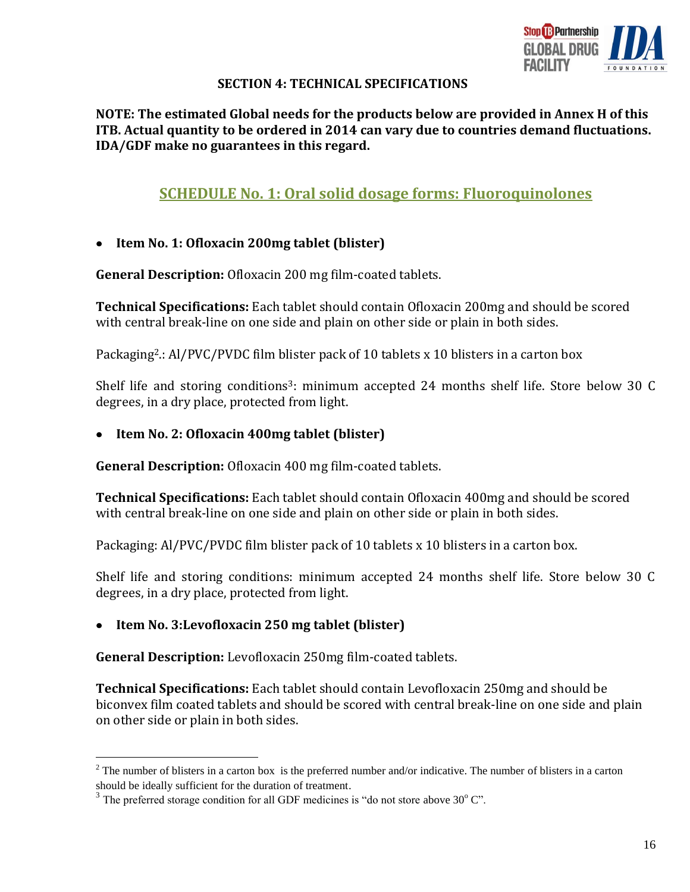

## **SECTION 4: TECHNICAL SPECIFICATIONS**

**NOTE: The estimated Global needs for the products below are provided in Annex H of this ITB. Actual quantity to be ordered in 2014 can vary due to countries demand fluctuations. IDA/GDF make no guarantees in this regard.**

# **SCHEDULE No. 1: Oral solid dosage forms: Fluoroquinolones**

#### **Item No. 1: Ofloxacin 200mg tablet (blister)**   $\bullet$

**General Description:** Ofloxacin 200 mg film-coated tablets.

**Technical Specifications:** Each tablet should contain Ofloxacin 200mg and should be scored with central break-line on one side and plain on other side or plain in both sides.

Packaging<sup>2</sup>.: Al/PVC/PVDC film blister pack of 10 tablets x 10 blisters in a carton box

Shelf life and storing conditions<sup>3</sup>: minimum accepted 24 months shelf life. Store below 30 C degrees, in a dry place, protected from light.

#### $\bullet$ **Item No. 2: Ofloxacin 400mg tablet (blister)**

**General Description:** Ofloxacin 400 mg film-coated tablets.

**Technical Specifications:** Each tablet should contain Ofloxacin 400mg and should be scored with central break-line on one side and plain on other side or plain in both sides.

Packaging: Al/PVC/PVDC film blister pack of 10 tablets x 10 blisters in a carton box.

Shelf life and storing conditions: minimum accepted 24 months shelf life. Store below 30 C degrees, in a dry place, protected from light.

## **Item No. 3:Levofloxacin 250 mg tablet (blister)**

**General Description:** Levofloxacin 250mg film-coated tablets.

**Technical Specifications:** Each tablet should contain Levofloxacin 250mg and should be biconvex film coated tablets and should be scored with central break-line on one side and plain on other side or plain in both sides.

 $2^2$  The number of blisters in a carton box is the preferred number and/or indicative. The number of blisters in a carton should be ideally sufficient for the duration of treatment.

 $3$  The preferred storage condition for all GDF medicines is "do not store above  $30^{\circ}$  C".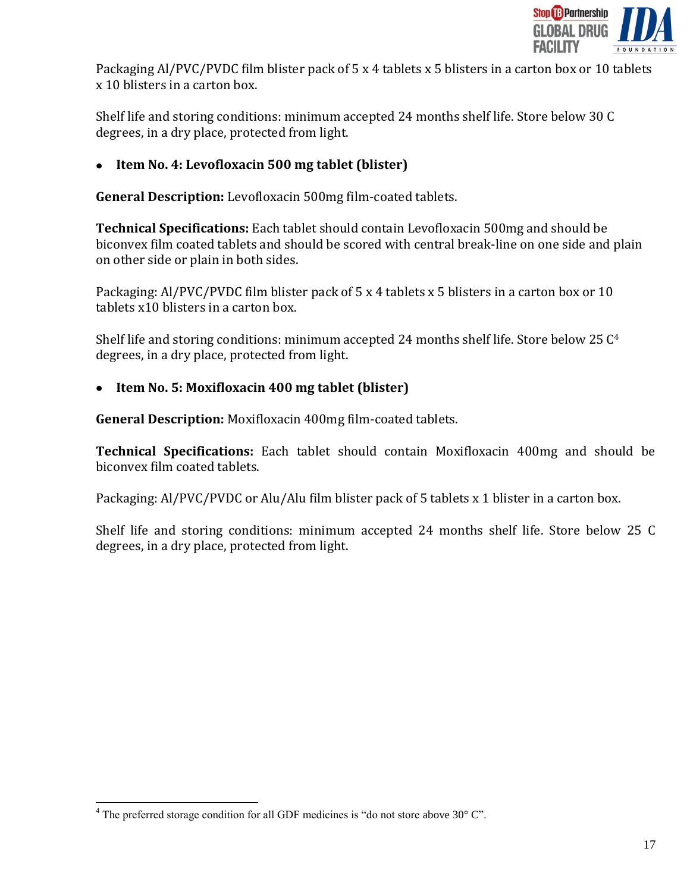

Packaging Al/PVC/PVDC film blister pack of 5 x 4 tablets x 5 blisters in a carton box or 10 tablets x 10 blisters in a carton box.

Shelf life and storing conditions: minimum accepted 24 months shelf life. Store below 30 C degrees, in a dry place, protected from light.

# **Item No. 4: Levofloxacin 500 mg tablet (blister)**

**General Description:** Levofloxacin 500mg film-coated tablets.

**Technical Specifications:** Each tablet should contain Levofloxacin 500mg and should be biconvex film coated tablets and should be scored with central break-line on one side and plain on other side or plain in both sides.

Packaging: Al/PVC/PVDC film blister pack of 5 x 4 tablets x 5 blisters in a carton box or 10 tablets x10 blisters in a carton box.

Shelf life and storing conditions: minimum accepted 24 months shelf life. Store below 25 C<sup>4</sup> degrees, in a dry place, protected from light.

# **Item No. 5: Moxifloxacin 400 mg tablet (blister)**

**General Description:** Moxifloxacin 400mg film-coated tablets.

**Technical Specifications:** Each tablet should contain Moxifloxacin 400mg and should be biconvex film coated tablets.

Packaging: Al/PVC/PVDC or Alu/Alu film blister pack of 5 tablets x 1 blister in a carton box.

Shelf life and storing conditions: minimum accepted 24 months shelf life. Store below 25 C degrees, in a dry place, protected from light.

 $4$  The preferred storage condition for all GDF medicines is "do not store above 30 $^{\circ}$  C".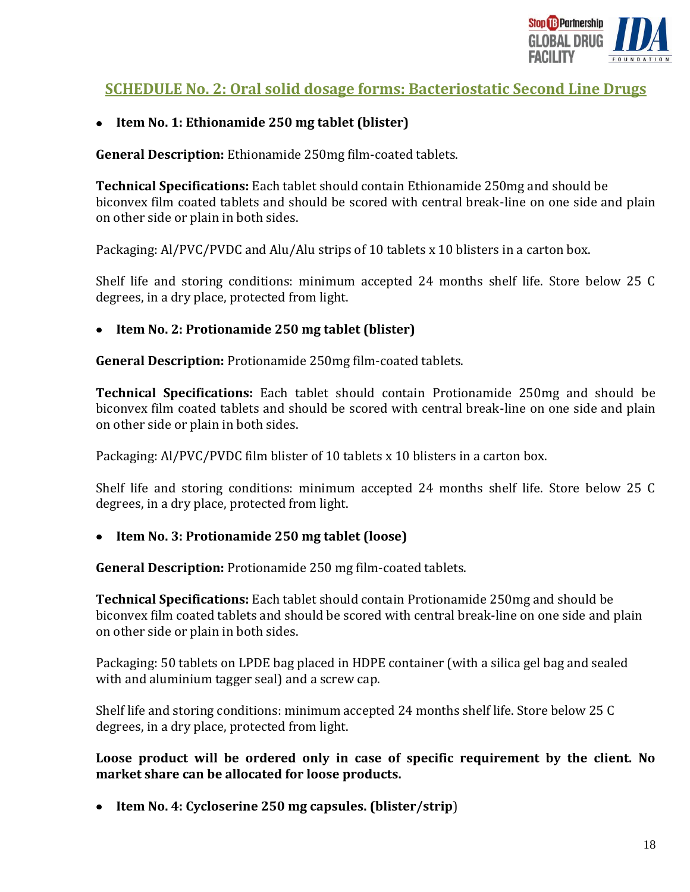

# **SCHEDULE No. 2: Oral solid dosage forms: Bacteriostatic Second Line Drugs**

## **Item No. 1: Ethionamide 250 mg tablet (blister)**

**General Description:** Ethionamide 250mg film-coated tablets.

**Technical Specifications:** Each tablet should contain Ethionamide 250mg and should be biconvex film coated tablets and should be scored with central break-line on one side and plain on other side or plain in both sides.

Packaging: Al/PVC/PVDC and Alu/Alu strips of 10 tablets x 10 blisters in a carton box.

Shelf life and storing conditions: minimum accepted 24 months shelf life. Store below 25 C degrees, in a dry place, protected from light.

## **Item No. 2: Protionamide 250 mg tablet (blister)**

**General Description:** Protionamide 250mg film-coated tablets.

**Technical Specifications:** Each tablet should contain Protionamide 250mg and should be biconvex film coated tablets and should be scored with central break-line on one side and plain on other side or plain in both sides.

Packaging: Al/PVC/PVDC film blister of 10 tablets x 10 blisters in a carton box.

Shelf life and storing conditions: minimum accepted 24 months shelf life. Store below 25 C degrees, in a dry place, protected from light.

## **Item No. 3: Protionamide 250 mg tablet (loose)**

**General Description:** Protionamide 250 mg film-coated tablets.

**Technical Specifications:** Each tablet should contain Protionamide 250mg and should be biconvex film coated tablets and should be scored with central break-line on one side and plain on other side or plain in both sides.

Packaging: 50 tablets on LPDE bag placed in HDPE container (with a silica gel bag and sealed with and aluminium tagger seal) and a screw cap.

Shelf life and storing conditions: minimum accepted 24 months shelf life. Store below 25 C degrees, in a dry place, protected from light.

**Loose product will be ordered only in case of specific requirement by the client. No market share can be allocated for loose products.**

**Item No. 4: Cycloserine 250 mg capsules. (blister/strip**)  $\bullet$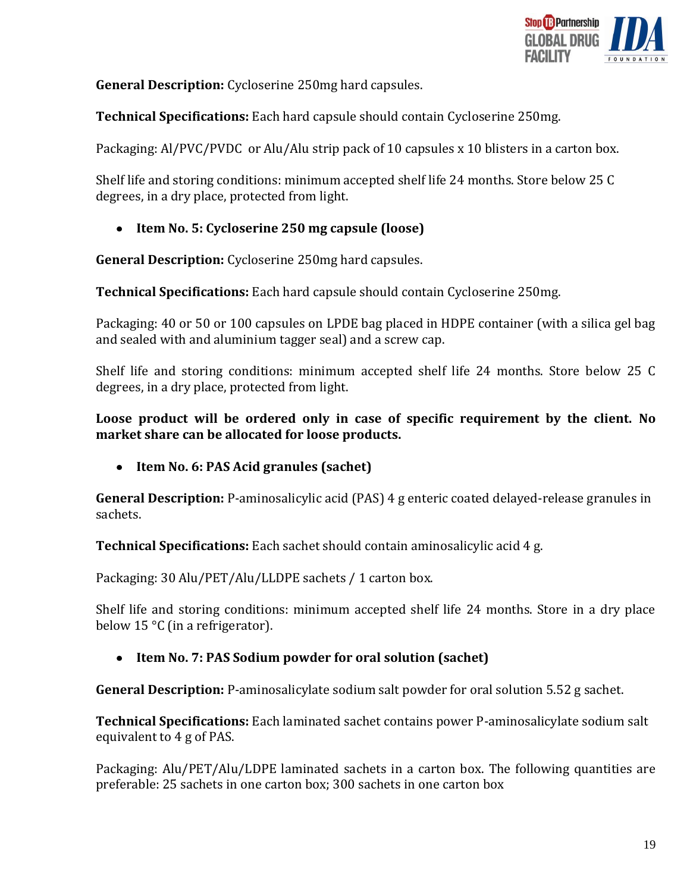

**General Description:** Cycloserine 250mg hard capsules.

**Technical Specifications:** Each hard capsule should contain Cycloserine 250mg.

Packaging: Al/PVC/PVDC or Alu/Alu strip pack of 10 capsules x 10 blisters in a carton box.

Shelf life and storing conditions: minimum accepted shelf life 24 months. Store below 25 C degrees, in a dry place, protected from light.

# **Item No. 5: Cycloserine 250 mg capsule (loose)**

**General Description:** Cycloserine 250mg hard capsules.

**Technical Specifications:** Each hard capsule should contain Cycloserine 250mg.

Packaging: 40 or 50 or 100 capsules on LPDE bag placed in HDPE container (with a silica gel bag and sealed with and aluminium tagger seal) and a screw cap.

Shelf life and storing conditions: minimum accepted shelf life 24 months. Store below 25 C degrees, in a dry place, protected from light.

**Loose product will be ordered only in case of specific requirement by the client. No market share can be allocated for loose products.**

**Item No. 6: PAS Acid granules (sachet)**

**General Description:** P-aminosalicylic acid (PAS) 4 g enteric coated delayed-release granules in sachets.

**Technical Specifications:** Each sachet should contain aminosalicylic acid 4 g.

Packaging: 30 Alu/PET/Alu/LLDPE sachets / 1 carton box.

Shelf life and storing conditions: minimum accepted shelf life 24 months. Store in a dry place below 15 °C (in a refrigerator).

# **Item No. 7: PAS Sodium powder for oral solution (sachet)**

**General Description:** P-aminosalicylate sodium salt powder for oral solution 5.52 g sachet.

**Technical Specifications:** Each laminated sachet contains power P-aminosalicylate sodium salt equivalent to 4 g of PAS.

Packaging: Alu/PET/Alu/LDPE laminated sachets in a carton box. The following quantities are preferable: 25 sachets in one carton box; 300 sachets in one carton box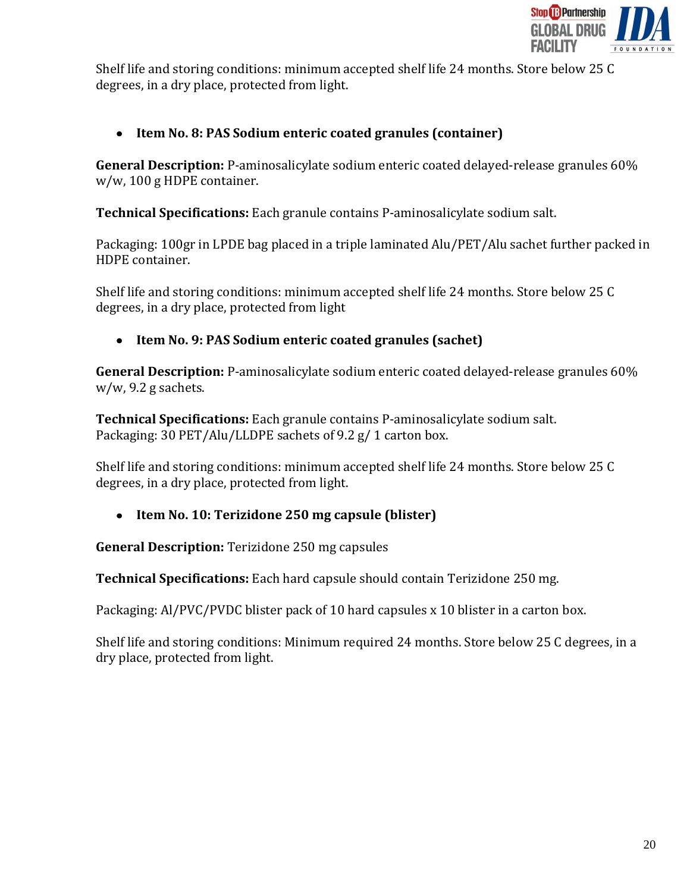

Shelf life and storing conditions: minimum accepted shelf life 24 months. Store below 25 C degrees, in a dry place, protected from light.

# **Item No. 8: PAS Sodium enteric coated granules (container)**

**General Description:** P-aminosalicylate sodium enteric coated delayed-release granules 60% w/w, 100 g HDPE container.

**Technical Specifications:** Each granule contains P-aminosalicylate sodium salt.

Packaging: 100gr in LPDE bag placed in a triple laminated Alu/PET/Alu sachet further packed in HDPE container.

Shelf life and storing conditions: minimum accepted shelf life 24 months. Store below 25 C degrees, in a dry place, protected from light

**Item No. 9: PAS Sodium enteric coated granules (sachet)**   $\bullet$ 

**General Description:** P-aminosalicylate sodium enteric coated delayed-release granules 60% w/w, 9.2 g sachets.

**Technical Specifications:** Each granule contains P-aminosalicylate sodium salt. Packaging: 30 PET/Alu/LLDPE sachets of 9.2 g/ 1 carton box.

Shelf life and storing conditions: minimum accepted shelf life 24 months. Store below 25 C degrees, in a dry place, protected from light.

**Item No. 10: Terizidone 250 mg capsule (blister)**

**General Description:** Terizidone 250 mg capsules

**Technical Specifications:** Each hard capsule should contain Terizidone 250 mg.

Packaging: Al/PVC/PVDC blister pack of 10 hard capsules x 10 blister in a carton box.

Shelf life and storing conditions: Minimum required 24 months. Store below 25 C degrees, in a dry place, protected from light.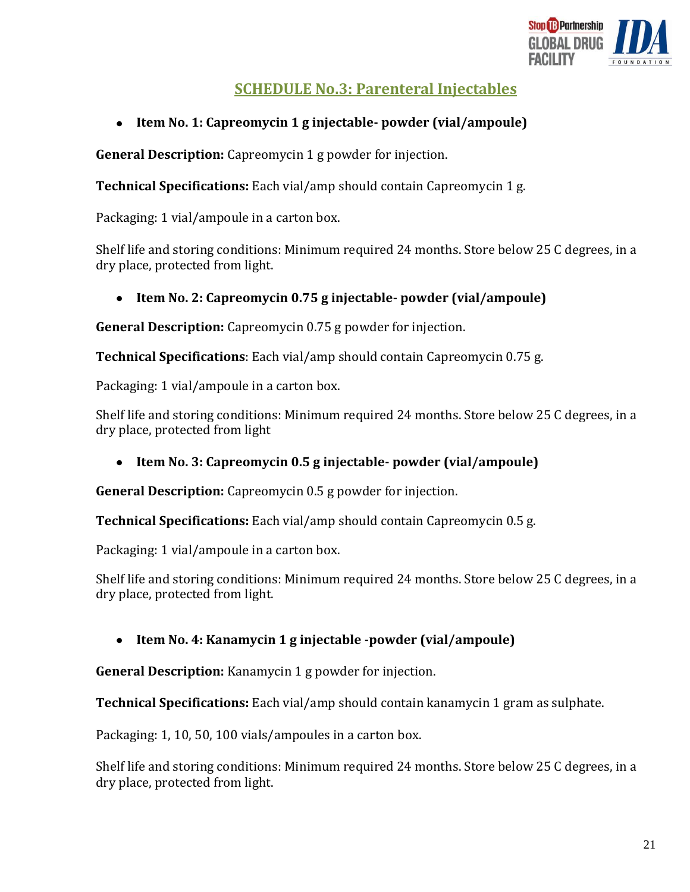

# **SCHEDULE No.3: Parenteral Injectables**

#### $\bullet$ **Item No. 1: Capreomycin 1 g injectable- powder (vial/ampoule)**

**General Description:** Capreomycin 1 g powder for injection.

**Technical Specifications:** Each vial/amp should contain Capreomycin 1 g.

Packaging: 1 vial/ampoule in a carton box.

Shelf life and storing conditions: Minimum required 24 months. Store below 25 C degrees, in a dry place, protected from light.

## **Item No. 2: Capreomycin 0.75 g injectable- powder (vial/ampoule)**

**General Description:** Capreomycin 0.75 g powder for injection.

**Technical Specifications**: Each vial/amp should contain Capreomycin 0.75 g.

Packaging: 1 vial/ampoule in a carton box.

Shelf life and storing conditions: Minimum required 24 months. Store below 25 C degrees, in a dry place, protected from light

#### **Item No. 3: Capreomycin 0.5 g injectable- powder (vial/ampoule)**   $\bullet$

**General Description:** Capreomycin 0.5 g powder for injection.

**Technical Specifications:** Each vial/amp should contain Capreomycin 0.5 g.

Packaging: 1 vial/ampoule in a carton box.

Shelf life and storing conditions: Minimum required 24 months. Store below 25 C degrees, in a dry place, protected from light.

## **Item No. 4: Kanamycin 1 g injectable -powder (vial/ampoule)**

**General Description:** Kanamycin 1 g powder for injection.

**Technical Specifications:** Each vial/amp should contain kanamycin 1 gram as sulphate.

Packaging: 1, 10, 50, 100 vials/ampoules in a carton box.

Shelf life and storing conditions: Minimum required 24 months. Store below 25 C degrees, in a dry place, protected from light.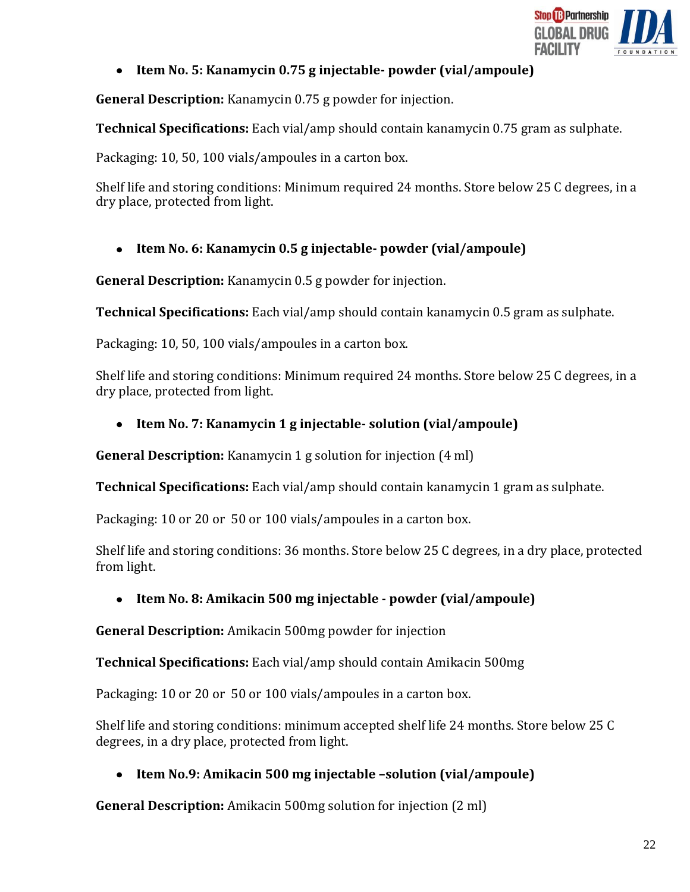

## **Item No. 5: Kanamycin 0.75 g injectable- powder (vial/ampoule)**

**General Description:** Kanamycin 0.75 g powder for injection.

**Technical Specifications:** Each vial/amp should contain kanamycin 0.75 gram as sulphate.

Packaging: 10, 50, 100 vials/ampoules in a carton box.

Shelf life and storing conditions: Minimum required 24 months. Store below 25 C degrees, in a dry place, protected from light.

# **Item No. 6: Kanamycin 0.5 g injectable- powder (vial/ampoule)**

**General Description:** Kanamycin 0.5 g powder for injection.

**Technical Specifications:** Each vial/amp should contain kanamycin 0.5 gram as sulphate.

Packaging: 10, 50, 100 vials/ampoules in a carton box.

Shelf life and storing conditions: Minimum required 24 months. Store below 25 C degrees, in a dry place, protected from light.

# **Item No. 7: Kanamycin 1 g injectable- solution (vial/ampoule)**

**General Description:** Kanamycin 1 g solution for injection (4 ml)

**Technical Specifications:** Each vial/amp should contain kanamycin 1 gram as sulphate.

Packaging: 10 or 20 or 50 or 100 vials/ampoules in a carton box.

Shelf life and storing conditions: 36 months. Store below 25 C degrees, in a dry place, protected from light.

# **Item No. 8: Amikacin 500 mg injectable - powder (vial/ampoule)**

**General Description:** Amikacin 500mg powder for injection

**Technical Specifications:** Each vial/amp should contain Amikacin 500mg

Packaging: 10 or 20 or 50 or 100 vials/ampoules in a carton box.

Shelf life and storing conditions: minimum accepted shelf life 24 months. Store below 25 C degrees, in a dry place, protected from light.

# **Item No.9: Amikacin 500 mg injectable –solution (vial/ampoule)**

**General Description:** Amikacin 500mg solution for injection (2 ml)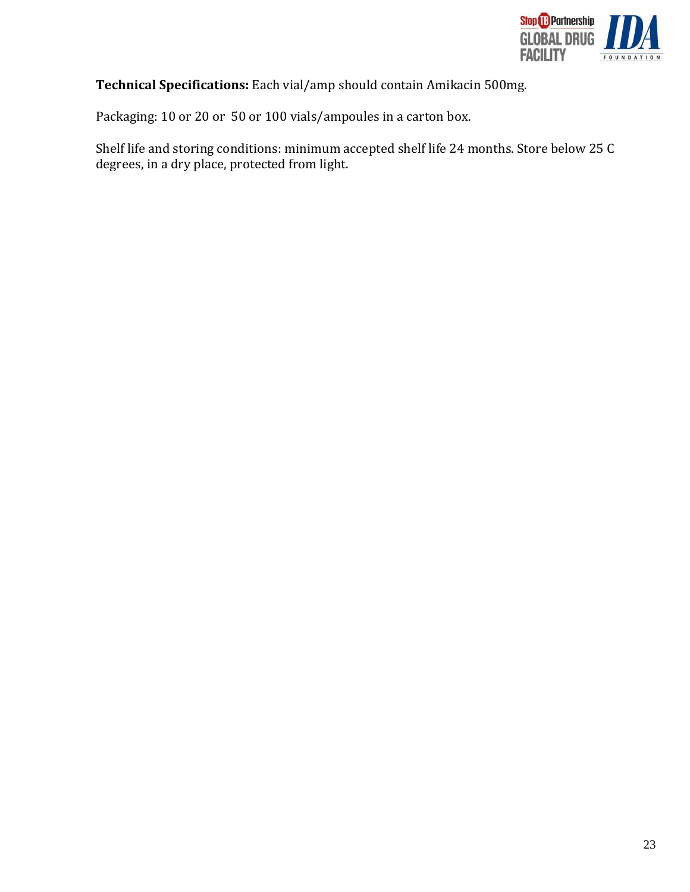

**Technical Specifications:** Each vial/amp should contain Amikacin 500mg.

Packaging: 10 or 20 or 50 or 100 vials/ampoules in a carton box.

Shelf life and storing conditions: minimum accepted shelf life 24 months. Store below 25 C degrees, in a dry place, protected from light.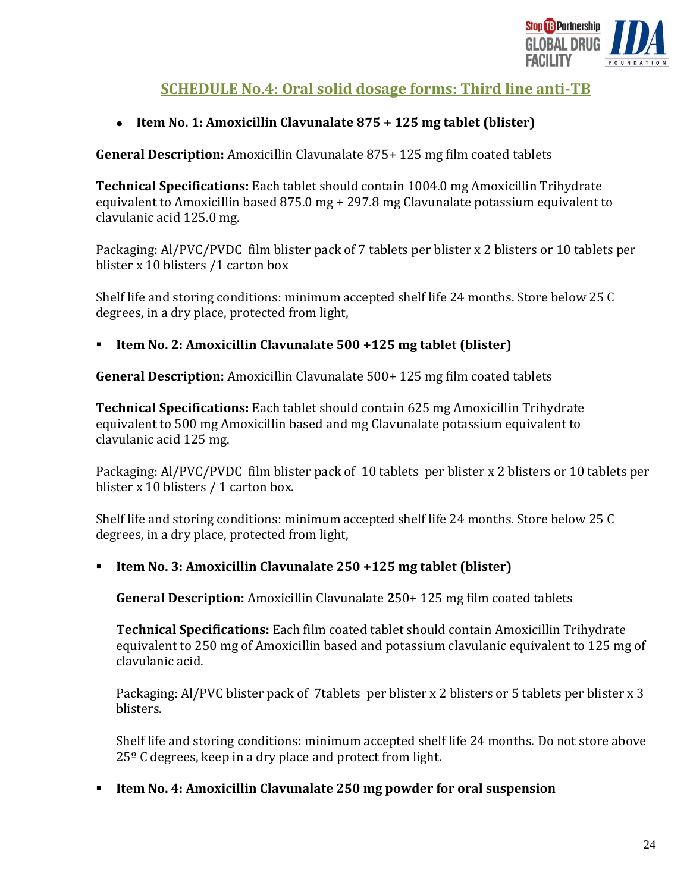

# **SCHEDULE No.4: Oral solid dosage forms: Third line anti-TB**

## **Item No. 1: Amoxicillin Clavunalate 875 + 125 mg tablet (blister)**

**General Description:** Amoxicillin Clavunalate 875+ 125 mg film coated tablets

**Technical Specifications:** Each tablet should contain 1004.0 mg Amoxicillin Trihydrate equivalent to Amoxicillin based 875.0 mg + 297.8 mg Clavunalate potassium equivalent to clavulanic acid 125.0 mg.

Packaging: Al/PVC/PVDC film blister pack of 7 tablets per blister x 2 blisters or 10 tablets per blister x 10 blisters /1 carton box

Shelf life and storing conditions: minimum accepted shelf life 24 months. Store below 25 C degrees, in a dry place, protected from light,

## **Item No. 2: Amoxicillin Clavunalate 500 +125 mg tablet (blister)**

**General Description:** Amoxicillin Clavunalate 500+ 125 mg film coated tablets

**Technical Specifications:** Each tablet should contain 625 mg Amoxicillin Trihydrate equivalent to 500 mg Amoxicillin based and mg Clavunalate potassium equivalent to clavulanic acid 125 mg.

Packaging: Al/PVC/PVDC film blister pack of 10 tablets per blister x 2 blisters or 10 tablets per blister x 10 blisters / 1 carton box.

Shelf life and storing conditions: minimum accepted shelf life 24 months. Store below 25 C degrees, in a dry place, protected from light,

## **Item No. 3: Amoxicillin Clavunalate 250 +125 mg tablet (blister)**

**General Description:** Amoxicillin Clavunalate **2**50+ 125 mg film coated tablets

**Technical Specifications:** Each film coated tablet should contain Amoxicillin Trihydrate equivalent to 250 mg of Amoxicillin based and potassium clavulanic equivalent to 125 mg of clavulanic acid.

Packaging: Al/PVC blister pack of 7tablets per blister x 2 blisters or 5 tablets per blister x 3 blisters.

Shelf life and storing conditions: minimum accepted shelf life 24 months. Do not store above 25º C degrees, keep in a dry place and protect from light.

## **Item No. 4: Amoxicillin Clavunalate 250 mg powder for oral suspension**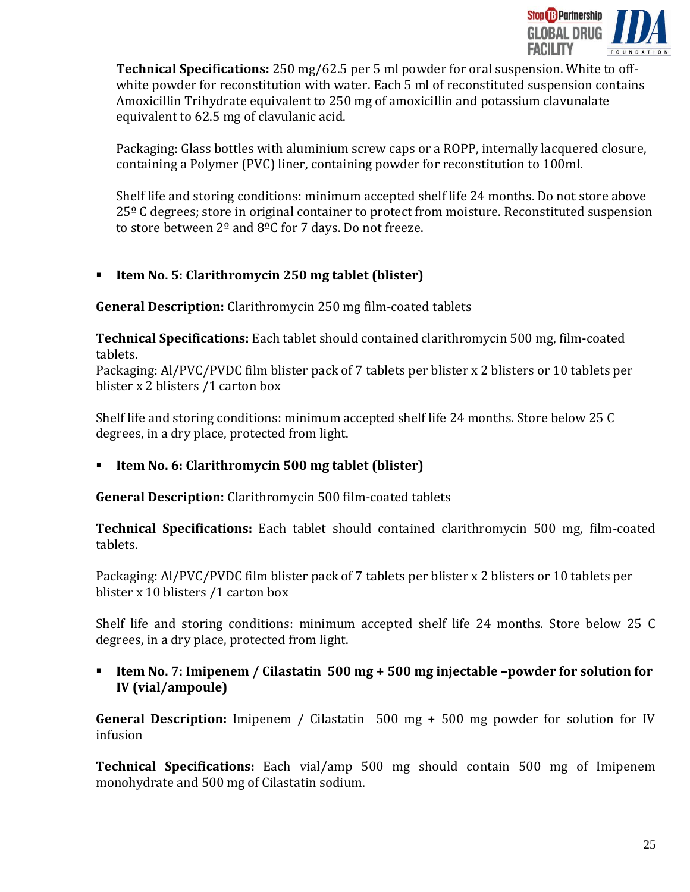

**Technical Specifications:** 250 mg/62.5 per 5 ml powder for oral suspension. White to offwhite powder for reconstitution with water. Each 5 ml of reconstituted suspension contains Amoxicillin Trihydrate equivalent to 250 mg of amoxicillin and potassium clavunalate equivalent to 62.5 mg of clavulanic acid.

Packaging: Glass bottles with aluminium screw caps or a ROPP, internally lacquered closure, containing a Polymer (PVC) liner, containing powder for reconstitution to 100ml.

Shelf life and storing conditions: minimum accepted shelf life 24 months. Do not store above 25<sup>o</sup> C degrees; store in original container to protect from moisture. Reconstituted suspension to store between  $2^{\circ}$  and  $8^{\circ}$ C for 7 days. Do not freeze.

# **Item No. 5: Clarithromycin 250 mg tablet (blister)**

**General Description:** Clarithromycin 250 mg film-coated tablets

**Technical Specifications:** Each tablet should contained clarithromycin 500 mg, film-coated tablets.

Packaging: Al/PVC/PVDC film blister pack of 7 tablets per blister x 2 blisters or 10 tablets per blister x 2 blisters /1 carton box

Shelf life and storing conditions: minimum accepted shelf life 24 months. Store below 25 C degrees, in a dry place, protected from light.

# **Item No. 6: Clarithromycin 500 mg tablet (blister)**

**General Description:** Clarithromycin 500 film-coated tablets

**Technical Specifications:** Each tablet should contained clarithromycin 500 mg, film-coated tablets.

Packaging: Al/PVC/PVDC film blister pack of 7 tablets per blister x 2 blisters or 10 tablets per blister x 10 blisters /1 carton box

Shelf life and storing conditions: minimum accepted shelf life 24 months. Store below 25 C degrees, in a dry place, protected from light.

■ Item No. 7: Imipenem / Cilastatin 500 mg + 500 mg injectable -powder for solution for **IV (vial/ampoule)**

**General Description:** Imipenem / Cilastatin 500 mg + 500 mg powder for solution for IV infusion

**Technical Specifications:** Each vial/amp 500 mg should contain 500 mg of Imipenem monohydrate and 500 mg of Cilastatin sodium.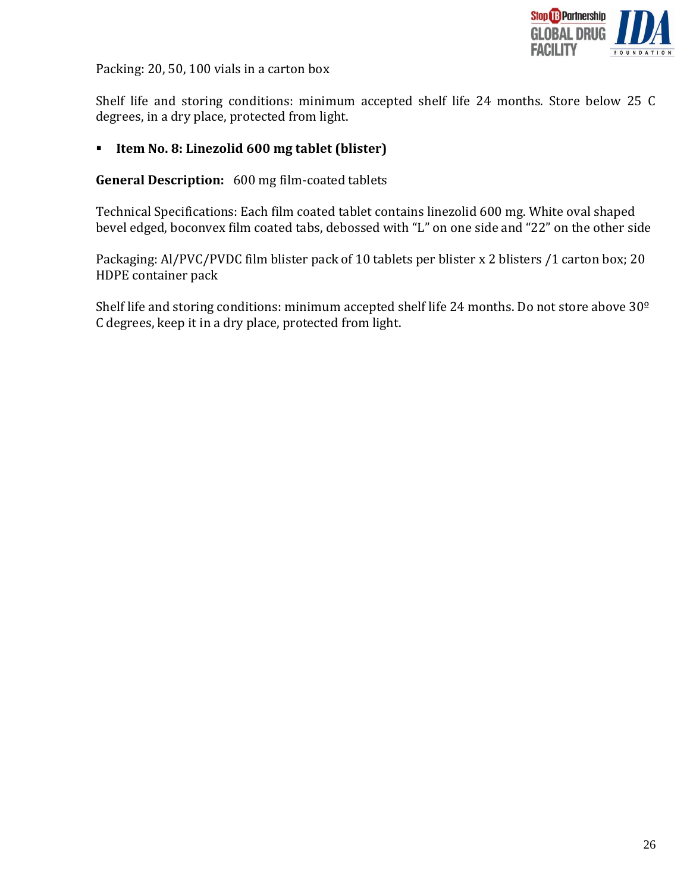

Packing: 20, 50, 100 vials in a carton box

Shelf life and storing conditions: minimum accepted shelf life 24 months. Store below 25 C degrees, in a dry place, protected from light.

## **Item No. 8: Linezolid 600 mg tablet (blister)**

### **General Description:** 600 mg film-coated tablets

Technical Specifications: Each film coated tablet contains linezolid 600 mg. White oval shaped bevel edged, boconvex film coated tabs, debossed with "L" on one side and "22" on the other side

Packaging: Al/PVC/PVDC film blister pack of 10 tablets per blister x 2 blisters /1 carton box; 20 HDPE container pack

Shelf life and storing conditions: minimum accepted shelf life 24 months. Do not store above 30º C degrees, keep it in a dry place, protected from light.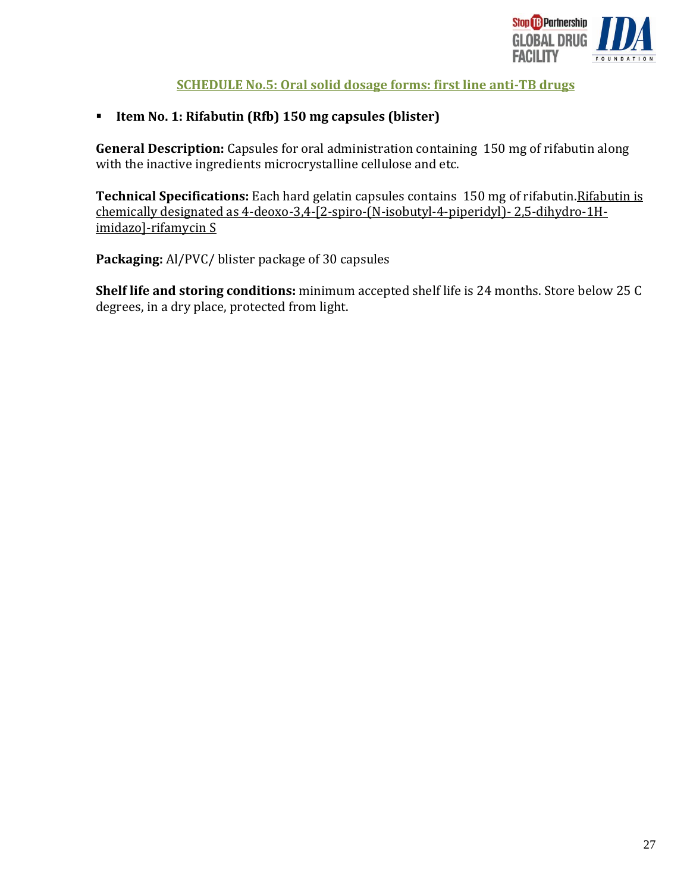

# **SCHEDULE No.5: Oral solid dosage forms: first line anti-TB drugs**

## **Item No. 1: Rifabutin (Rfb) 150 mg capsules (blister)**

**General Description:** Capsules for oral administration containing 150 mg of rifabutin along with the inactive ingredients microcrystalline cellulose and etc.

**Technical Specifications:** Each hard gelatin capsules contains 150 mg of rifabutin. Rifabutin is chemically designated as 4-deoxo-3,4-[2-spiro-(N-isobutyl-4-piperidyl)- 2,5-dihydro-1Himidazo]-rifamycin S

**Packaging:** Al/PVC/ blister package of 30 capsules

**Shelf life and storing conditions:** minimum accepted shelf life is 24 months. Store below 25 C degrees, in a dry place, protected from light.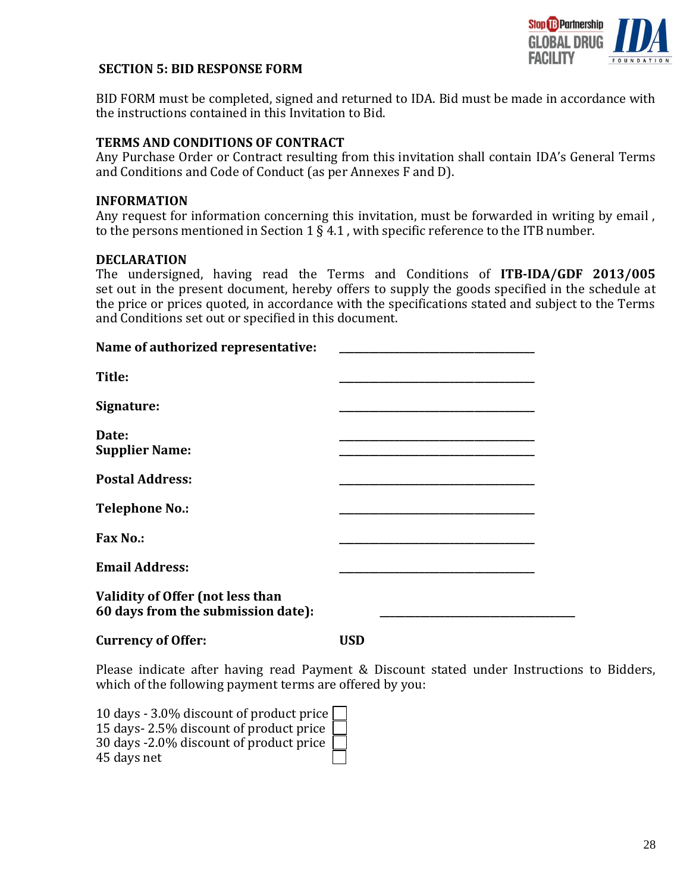

#### <span id="page-27-1"></span><span id="page-27-0"></span>**SECTION 5: BID RESPONSE FORM**

BID FORM must be completed, signed and returned to IDA. Bid must be made in accordance with the instructions contained in this Invitation to Bid.

#### **TERMS AND CONDITIONS OF CONTRACT**

Any Purchase Order or Contract resulting from this invitation shall contain IDA's General Terms and Conditions and Code of Conduct (as per Annexes F and D).

#### **INFORMATION**

Any request for information concerning this invitation, must be forwarded in writing by email , to the persons mentioned in Section  $1 \le 4.1$ , with specific reference to the ITB number.

#### **DECLARATION**

The undersigned, having read the Terms and Conditions of **ITB-IDA/GDF 2013/005**  set out in the present document, hereby offers to supply the goods specified in the schedule at the price or prices quoted, in accordance with the specifications stated and subject to the Terms and Conditions set out or specified in this document.

| Name of authorized representative:                                     |  |
|------------------------------------------------------------------------|--|
| Title:                                                                 |  |
| Signature:                                                             |  |
| Date:                                                                  |  |
| <b>Supplier Name:</b>                                                  |  |
| <b>Postal Address:</b>                                                 |  |
| <b>Telephone No.:</b>                                                  |  |
| <b>Fax No.:</b>                                                        |  |
| <b>Email Address:</b>                                                  |  |
| Validity of Offer (not less than<br>60 days from the submission date): |  |
|                                                                        |  |

Please indicate after having read Payment & Discount stated under Instructions to Bidders, which of the following payment terms are offered by you:

10 days - 3.0% discount of product price 15 days- 2.5% discount of product price 30 days -2.0% discount of product price 45 days net

**Currency of Offer: USD**